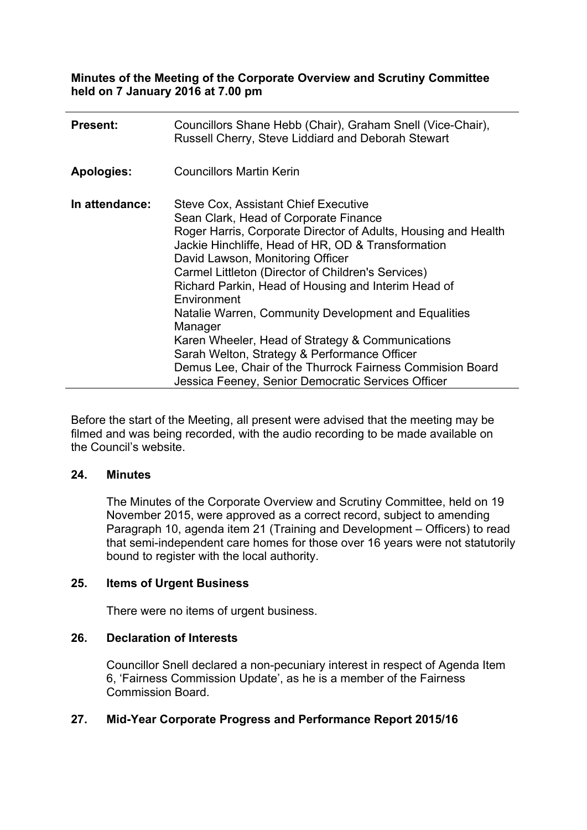**Minutes of the Meeting of the Corporate Overview and Scrutiny Committee held on 7 January 2016 at 7.00 pm**

| <b>Present:</b>   | Councillors Shane Hebb (Chair), Graham Snell (Vice-Chair),<br>Russell Cherry, Steve Liddiard and Deborah Stewart                                                                                                                                                                                                                                                                                                                                                                                                                                                                                                                                                       |
|-------------------|------------------------------------------------------------------------------------------------------------------------------------------------------------------------------------------------------------------------------------------------------------------------------------------------------------------------------------------------------------------------------------------------------------------------------------------------------------------------------------------------------------------------------------------------------------------------------------------------------------------------------------------------------------------------|
| <b>Apologies:</b> | <b>Councillors Martin Kerin</b>                                                                                                                                                                                                                                                                                                                                                                                                                                                                                                                                                                                                                                        |
| In attendance:    | <b>Steve Cox, Assistant Chief Executive</b><br>Sean Clark, Head of Corporate Finance<br>Roger Harris, Corporate Director of Adults, Housing and Health<br>Jackie Hinchliffe, Head of HR, OD & Transformation<br>David Lawson, Monitoring Officer<br>Carmel Littleton (Director of Children's Services)<br>Richard Parkin, Head of Housing and Interim Head of<br>Environment<br>Natalie Warren, Community Development and Equalities<br>Manager<br>Karen Wheeler, Head of Strategy & Communications<br>Sarah Welton, Strategy & Performance Officer<br>Demus Lee, Chair of the Thurrock Fairness Commision Board<br>Jessica Feeney, Senior Democratic Services Officer |

Before the start of the Meeting, all present were advised that the meeting may be filmed and was being recorded, with the audio recording to be made available on the Council's website.

#### **24. Minutes**

The Minutes of the Corporate Overview and Scrutiny Committee, held on 19 November 2015, were approved as a correct record, subject to amending Paragraph 10, agenda item 21 (Training and Development – Officers) to read that semi-independent care homes for those over 16 years were not statutorily bound to register with the local authority.

### **25. Items of Urgent Business**

There were no items of urgent business.

#### **26. Declaration of Interests**

Councillor Snell declared a non-pecuniary interest in respect of Agenda Item 6, 'Fairness Commission Update', as he is a member of the Fairness Commission Board.

## **27. Mid-Year Corporate Progress and Performance Report 2015/16**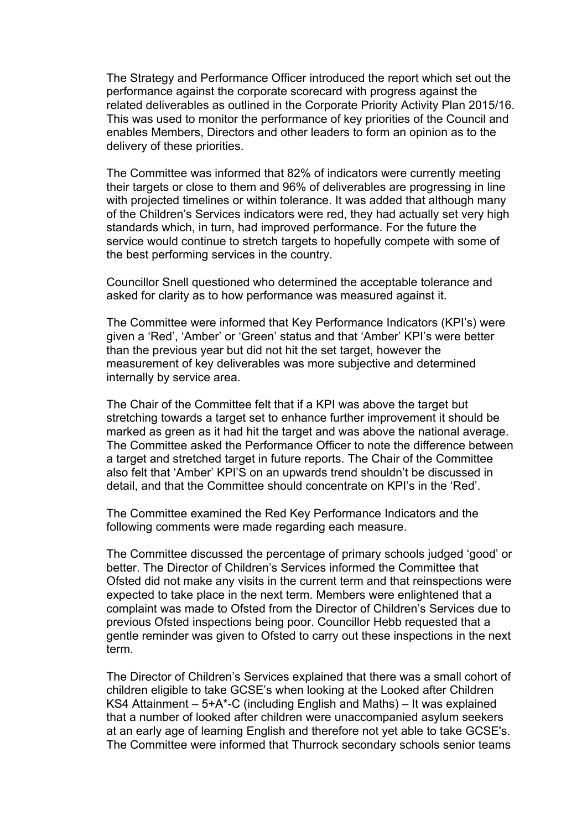The Strategy and Performance Officer introduced the report which set out the performance against the corporate scorecard with progress against the related deliverables as outlined in the Corporate Priority Activity Plan 2015/16. This was used to monitor the performance of key priorities of the Council and enables Members, Directors and other leaders to form an opinion as to the delivery of these priorities.

The Committee was informed that 82% of indicators were currently meeting their targets or close to them and 96% of deliverables are progressing in line with projected timelines or within tolerance. It was added that although many of the Children's Services indicators were red, they had actually set very high standards which, in turn, had improved performance. For the future the service would continue to stretch targets to hopefully compete with some of the best performing services in the country.

Councillor Snell questioned who determined the acceptable tolerance and asked for clarity as to how performance was measured against it.

The Committee were informed that Key Performance Indicators (KPI's) were given a 'Red', 'Amber' or 'Green' status and that 'Amber' KPI's were better than the previous year but did not hit the set target, however the measurement of key deliverables was more subjective and determined internally by service area.

The Chair of the Committee felt that if a KPI was above the target but stretching towards a target set to enhance further improvement it should be marked as green as it had hit the target and was above the national average. The Committee asked the Performance Officer to note the difference between a target and stretched target in future reports. The Chair of the Committee also felt that 'Amber' KPI'S on an upwards trend shouldn't be discussed in detail, and that the Committee should concentrate on KPI's in the 'Red'.

The Committee examined the Red Key Performance Indicators and the following comments were made regarding each measure.

The Committee discussed the percentage of primary schools judged 'good' or better. The Director of Children's Services informed the Committee that Ofsted did not make any visits in the current term and that reinspections were expected to take place in the next term. Members were enlightened that a complaint was made to Ofsted from the Director of Children's Services due to previous Ofsted inspections being poor. Councillor Hebb requested that a gentle reminder was given to Ofsted to carry out these inspections in the next term.

The Director of Children's Services explained that there was a small cohort of children eligible to take GCSE's when looking at the Looked after Children KS4 Attainment – 5+A\*-C (including English and Maths) – It was explained that a number of looked after children were unaccompanied asylum seekers at an early age of learning English and therefore not yet able to take GCSE's. The Committee were informed that Thurrock secondary schools senior teams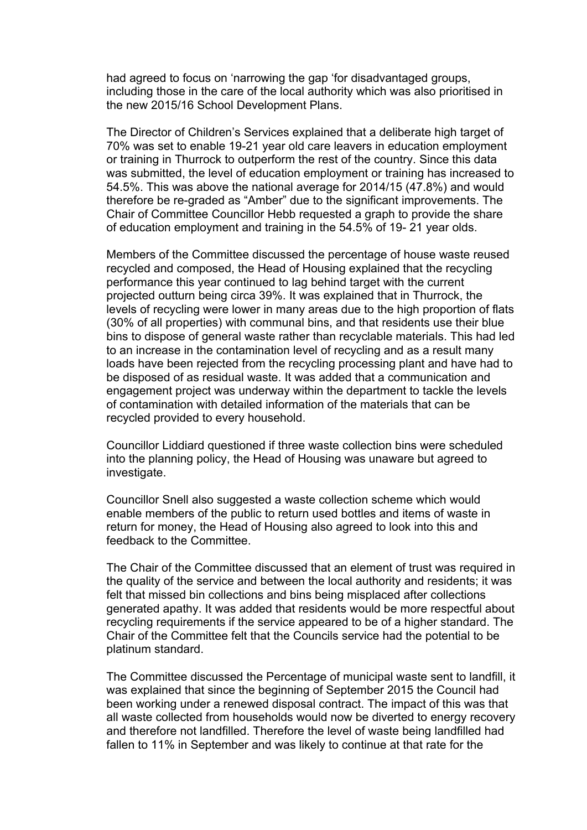had agreed to focus on 'narrowing the gap 'for disadvantaged groups, including those in the care of the local authority which was also prioritised in the new 2015/16 School Development Plans.

The Director of Children's Services explained that a deliberate high target of 70% was set to enable 19-21 year old care leavers in education employment or training in Thurrock to outperform the rest of the country. Since this data was submitted, the level of education employment or training has increased to 54.5%. This was above the national average for 2014/15 (47.8%) and would therefore be re-graded as "Amber" due to the significant improvements. The Chair of Committee Councillor Hebb requested a graph to provide the share of education employment and training in the 54.5% of 19- 21 year olds.

Members of the Committee discussed the percentage of house waste reused recycled and composed, the Head of Housing explained that the recycling performance this year continued to lag behind target with the current projected outturn being circa 39%. It was explained that in Thurrock, the levels of recycling were lower in many areas due to the high proportion of flats (30% of all properties) with communal bins, and that residents use their blue bins to dispose of general waste rather than recyclable materials. This had led to an increase in the contamination level of recycling and as a result many loads have been rejected from the recycling processing plant and have had to be disposed of as residual waste. It was added that a communication and engagement project was underway within the department to tackle the levels of contamination with detailed information of the materials that can be recycled provided to every household.

Councillor Liddiard questioned if three waste collection bins were scheduled into the planning policy, the Head of Housing was unaware but agreed to investigate.

Councillor Snell also suggested a waste collection scheme which would enable members of the public to return used bottles and items of waste in return for money, the Head of Housing also agreed to look into this and feedback to the Committee.

The Chair of the Committee discussed that an element of trust was required in the quality of the service and between the local authority and residents; it was felt that missed bin collections and bins being misplaced after collections generated apathy. It was added that residents would be more respectful about recycling requirements if the service appeared to be of a higher standard. The Chair of the Committee felt that the Councils service had the potential to be platinum standard.

The Committee discussed the Percentage of municipal waste sent to landfill, it was explained that since the beginning of September 2015 the Council had been working under a renewed disposal contract. The impact of this was that all waste collected from households would now be diverted to energy recovery and therefore not landfilled. Therefore the level of waste being landfilled had fallen to 11% in September and was likely to continue at that rate for the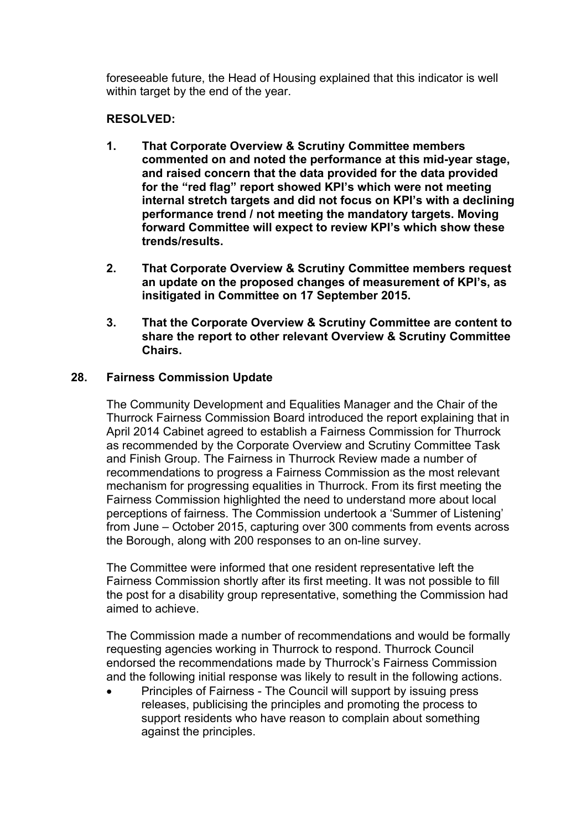foreseeable future, the Head of Housing explained that this indicator is well within target by the end of the year.

# **RESOLVED:**

- **1. That Corporate Overview & Scrutiny Committee members commented on and noted the performance at this mid-year stage, and raised concern that the data provided for the data provided for the "red flag" report showed KPI's which were not meeting internal stretch targets and did not focus on KPI's with a declining performance trend / not meeting the mandatory targets. Moving forward Committee will expect to review KPI's which show these trends/results.**
- **2. That Corporate Overview & Scrutiny Committee members request an update on the proposed changes of measurement of KPI's, as insitigated in Committee on 17 September 2015.**
- **3. That the Corporate Overview & Scrutiny Committee are content to share the report to other relevant Overview & Scrutiny Committee Chairs.**

## **28. Fairness Commission Update**

The Community Development and Equalities Manager and the Chair of the Thurrock Fairness Commission Board introduced the report explaining that in April 2014 Cabinet agreed to establish a Fairness Commission for Thurrock as recommended by the Corporate Overview and Scrutiny Committee Task and Finish Group. The Fairness in Thurrock Review made a number of recommendations to progress a Fairness Commission as the most relevant mechanism for progressing equalities in Thurrock. From its first meeting the Fairness Commission highlighted the need to understand more about local perceptions of fairness. The Commission undertook a 'Summer of Listening' from June – October 2015, capturing over 300 comments from events across the Borough, along with 200 responses to an on-line survey.

The Committee were informed that one resident representative left the Fairness Commission shortly after its first meeting. It was not possible to fill the post for a disability group representative, something the Commission had aimed to achieve.

The Commission made a number of recommendations and would be formally requesting agencies working in Thurrock to respond. Thurrock Council endorsed the recommendations made by Thurrock's Fairness Commission and the following initial response was likely to result in the following actions.

Principles of Fairness - The Council will support by issuing press releases, publicising the principles and promoting the process to support residents who have reason to complain about something against the principles.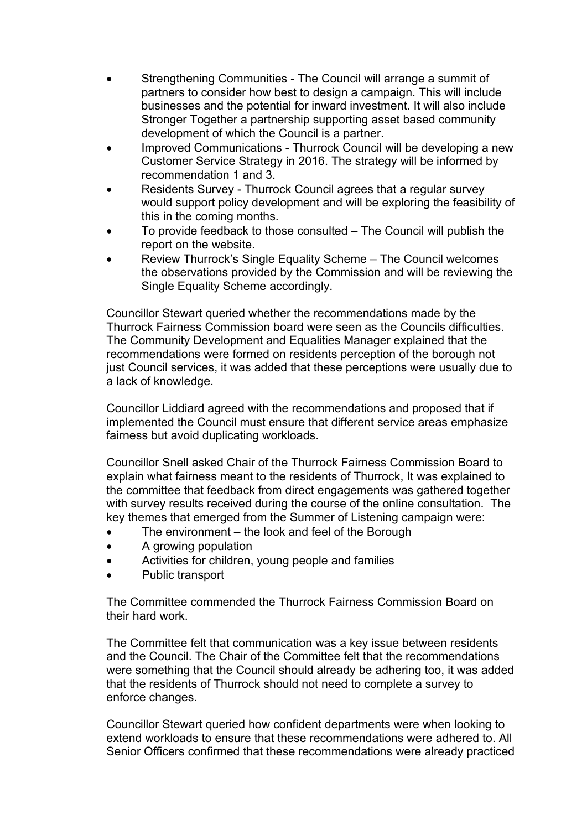- Strengthening Communities The Council will arrange a summit of partners to consider how best to design a campaign. This will include businesses and the potential for inward investment. It will also include Stronger Together a partnership supporting asset based community development of which the Council is a partner.
- Improved Communications Thurrock Council will be developing a new Customer Service Strategy in 2016. The strategy will be informed by recommendation 1 and 3.
- Residents Survey Thurrock Council agrees that a regular survey would support policy development and will be exploring the feasibility of this in the coming months.
- To provide feedback to those consulted The Council will publish the report on the website.
- Review Thurrock's Single Equality Scheme The Council welcomes the observations provided by the Commission and will be reviewing the Single Equality Scheme accordingly.

Councillor Stewart queried whether the recommendations made by the Thurrock Fairness Commission board were seen as the Councils difficulties. The Community Development and Equalities Manager explained that the recommendations were formed on residents perception of the borough not just Council services, it was added that these perceptions were usually due to a lack of knowledge.

Councillor Liddiard agreed with the recommendations and proposed that if implemented the Council must ensure that different service areas emphasize fairness but avoid duplicating workloads.

Councillor Snell asked Chair of the Thurrock Fairness Commission Board to explain what fairness meant to the residents of Thurrock, It was explained to the committee that feedback from direct engagements was gathered together with survey results received during the course of the online consultation. The key themes that emerged from the Summer of Listening campaign were:

- The environment the look and feel of the Borough
- A growing population
- Activities for children, young people and families
- Public transport

The Committee commended the Thurrock Fairness Commission Board on their hard work.

The Committee felt that communication was a key issue between residents and the Council. The Chair of the Committee felt that the recommendations were something that the Council should already be adhering too, it was added that the residents of Thurrock should not need to complete a survey to enforce changes.

Councillor Stewart queried how confident departments were when looking to extend workloads to ensure that these recommendations were adhered to. All Senior Officers confirmed that these recommendations were already practiced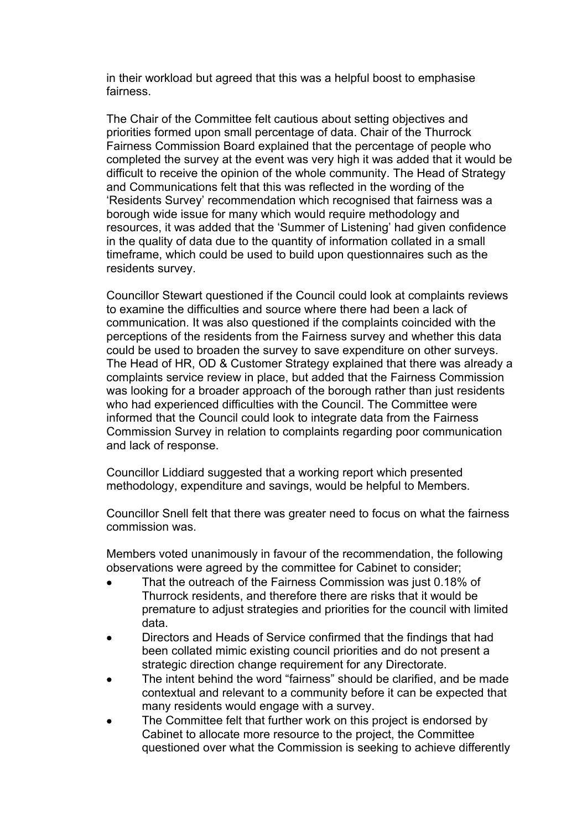in their workload but agreed that this was a helpful boost to emphasise fairness.

The Chair of the Committee felt cautious about setting objectives and priorities formed upon small percentage of data. Chair of the Thurrock Fairness Commission Board explained that the percentage of people who completed the survey at the event was very high it was added that it would be difficult to receive the opinion of the whole community. The Head of Strategy and Communications felt that this was reflected in the wording of the 'Residents Survey' recommendation which recognised that fairness was a borough wide issue for many which would require methodology and resources, it was added that the 'Summer of Listening' had given confidence in the quality of data due to the quantity of information collated in a small timeframe, which could be used to build upon questionnaires such as the residents survey.

Councillor Stewart questioned if the Council could look at complaints reviews to examine the difficulties and source where there had been a lack of communication. It was also questioned if the complaints coincided with the perceptions of the residents from the Fairness survey and whether this data could be used to broaden the survey to save expenditure on other surveys. The Head of HR, OD & Customer Strategy explained that there was already a complaints service review in place, but added that the Fairness Commission was looking for a broader approach of the borough rather than just residents who had experienced difficulties with the Council. The Committee were informed that the Council could look to integrate data from the Fairness Commission Survey in relation to complaints regarding poor communication and lack of response.

Councillor Liddiard suggested that a working report which presented methodology, expenditure and savings, would be helpful to Members.

Councillor Snell felt that there was greater need to focus on what the fairness commission was.

Members voted unanimously in favour of the recommendation, the following observations were agreed by the committee for Cabinet to consider;

- That the outreach of the Fairness Commission was just 0.18% of Thurrock residents, and therefore there are risks that it would be premature to adjust strategies and priorities for the council with limited data.
- Directors and Heads of Service confirmed that the findings that had been collated mimic existing council priorities and do not present a strategic direction change requirement for any Directorate.
- The intent behind the word "fairness" should be clarified, and be made contextual and relevant to a community before it can be expected that many residents would engage with a survey.
- The Committee felt that further work on this project is endorsed by Cabinet to allocate more resource to the project, the Committee questioned over what the Commission is seeking to achieve differently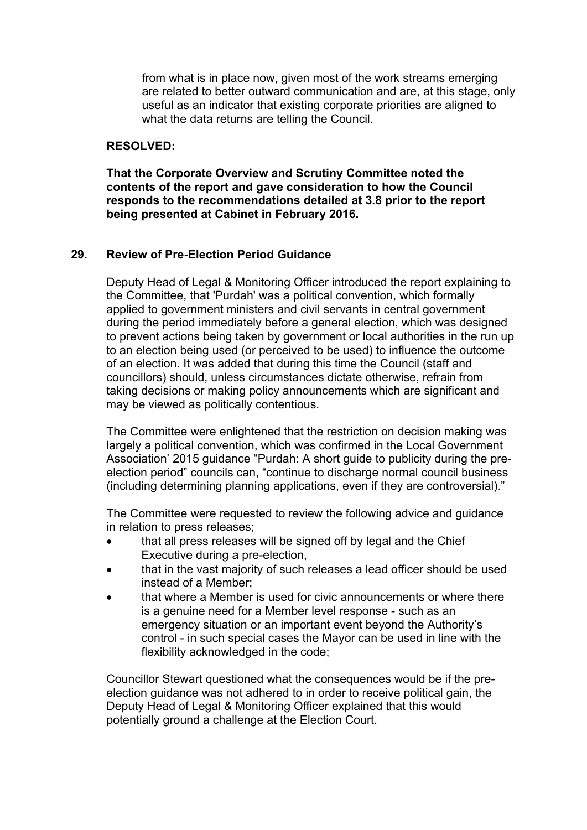from what is in place now, given most of the work streams emerging are related to better outward communication and are, at this stage, only useful as an indicator that existing corporate priorities are aligned to what the data returns are telling the Council.

## **RESOLVED:**

**That the Corporate Overview and Scrutiny Committee noted the contents of the report and gave consideration to how the Council responds to the recommendations detailed at 3.8 prior to the report being presented at Cabinet in February 2016.**

### **29. Review of Pre-Election Period Guidance**

Deputy Head of Legal & Monitoring Officer introduced the report explaining to the Committee, that 'Purdah' was a political convention, which formally applied to government ministers and civil servants in central government during the period immediately before a general election, which was designed to prevent actions being taken by government or local authorities in the run up to an election being used (or perceived to be used) to influence the outcome of an election. It was added that during this time the Council (staff and councillors) should, unless circumstances dictate otherwise, refrain from taking decisions or making policy announcements which are significant and may be viewed as politically contentious.

The Committee were enlightened that the restriction on decision making was largely a political convention, which was confirmed in the Local Government Association' 2015 guidance "Purdah: A short guide to publicity during the preelection period" councils can, "continue to discharge normal council business (including determining planning applications, even if they are controversial)."

The Committee were requested to review the following advice and guidance in relation to press releases;

- that all press releases will be signed off by legal and the Chief Executive during a pre-election,
- that in the vast majority of such releases a lead officer should be used instead of a Member;
- that where a Member is used for civic announcements or where there is a genuine need for a Member level response - such as an emergency situation or an important event beyond the Authority's control - in such special cases the Mayor can be used in line with the flexibility acknowledged in the code;

Councillor Stewart questioned what the consequences would be if the preelection guidance was not adhered to in order to receive political gain, the Deputy Head of Legal & Monitoring Officer explained that this would potentially ground a challenge at the Election Court.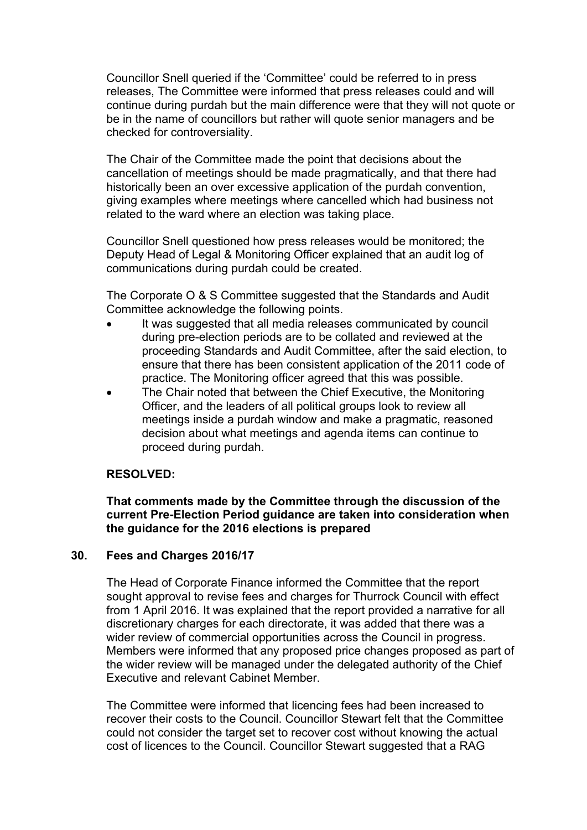Councillor Snell queried if the 'Committee' could be referred to in press releases, The Committee were informed that press releases could and will continue during purdah but the main difference were that they will not quote or be in the name of councillors but rather will quote senior managers and be checked for controversiality.

The Chair of the Committee made the point that decisions about the cancellation of meetings should be made pragmatically, and that there had historically been an over excessive application of the purdah convention, giving examples where meetings where cancelled which had business not related to the ward where an election was taking place.

Councillor Snell questioned how press releases would be monitored; the Deputy Head of Legal & Monitoring Officer explained that an audit log of communications during purdah could be created.

The Corporate O & S Committee suggested that the Standards and Audit Committee acknowledge the following points.

- It was suggested that all media releases communicated by council during pre-election periods are to be collated and reviewed at the proceeding Standards and Audit Committee, after the said election, to ensure that there has been consistent application of the 2011 code of practice. The Monitoring officer agreed that this was possible.
- The Chair noted that between the Chief Executive, the Monitoring Officer, and the leaders of all political groups look to review all meetings inside a purdah window and make a pragmatic, reasoned decision about what meetings and agenda items can continue to proceed during purdah.

### **RESOLVED:**

**That comments made by the Committee through the discussion of the current Pre-Election Period guidance are taken into consideration when the guidance for the 2016 elections is prepared**

### **30. Fees and Charges 2016/17**

The Head of Corporate Finance informed the Committee that the report sought approval to revise fees and charges for Thurrock Council with effect from 1 April 2016. It was explained that the report provided a narrative for all discretionary charges for each directorate, it was added that there was a wider review of commercial opportunities across the Council in progress. Members were informed that any proposed price changes proposed as part of the wider review will be managed under the delegated authority of the Chief Executive and relevant Cabinet Member.

The Committee were informed that licencing fees had been increased to recover their costs to the Council. Councillor Stewart felt that the Committee could not consider the target set to recover cost without knowing the actual cost of licences to the Council. Councillor Stewart suggested that a RAG